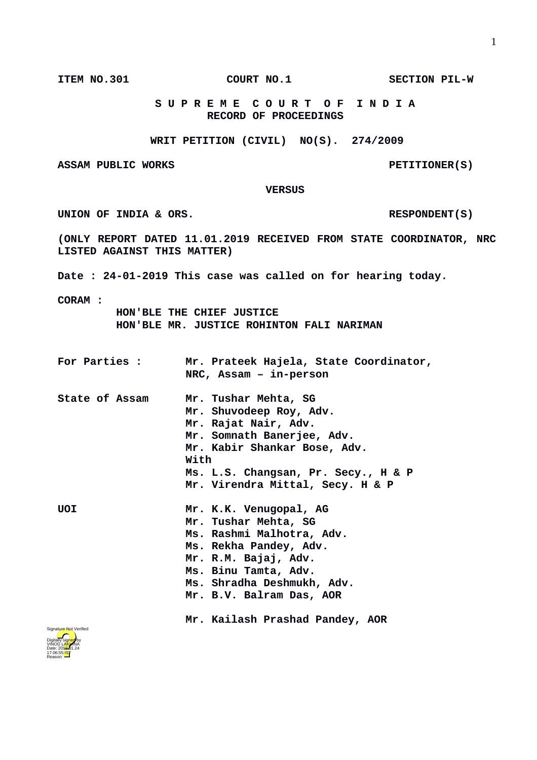**S U P R E M E C O U R T O F I N D I A RECORD OF PROCEEDINGS**

**WRIT PETITION (CIVIL) NO(S). 274/2009**

ASSAM PUBLIC WORKS **PETITIONER(S)** 

 **VERSUS**

UNION OF INDIA & ORS. RESPONDENT(S)

**(ONLY REPORT DATED 11.01.2019 RECEIVED FROM STATE COORDINATOR, NRC LISTED AGAINST THIS MATTER)**

**Date : 24-01-2019 This case was called on for hearing today.**

**CORAM :** 

 **HON'BLE THE CHIEF JUSTICE HON'BLE MR. JUSTICE ROHINTON FALI NARIMAN**

| For Parties :         | Mr. Prateek Hajela, State Coordinator,<br>NRC, Assam - in-person                                                                                                                                                                                   |
|-----------------------|----------------------------------------------------------------------------------------------------------------------------------------------------------------------------------------------------------------------------------------------------|
| <b>State of Assam</b> | Mr. Tushar Mehta, SG<br>Mr. Shuvodeep Roy, Adv.<br>Mr. Rajat Nair, Adv.<br>Mr. Somnath Banerjee, Adv.<br>Mr. Kabir Shankar Bose, Adv.<br>With<br>Ms. L.S. Changsan, Pr. Secy., H & P<br>Mr. Virendra Mittal, Secy. H & P                           |
| <b>UOI</b>            | Mr. K.K. Venugopal, AG<br>Mr. Tushar Mehta, SG<br>Ms. Rashmi Malhotra, Adv.<br>Ms. Rekha Pandey, Adv.<br>Mr. R.M. Bajaj, Adv.<br>Ms. Binu Tamta, Adv.<br>Ms. Shradha Deshmukh, Adv.<br>Mr. B.V. Balram Das, AOR<br>Mr. Kailash Prashad Pandey, AOR |



**ITEM NO.301 COURT NO.1** SECTION PIL-W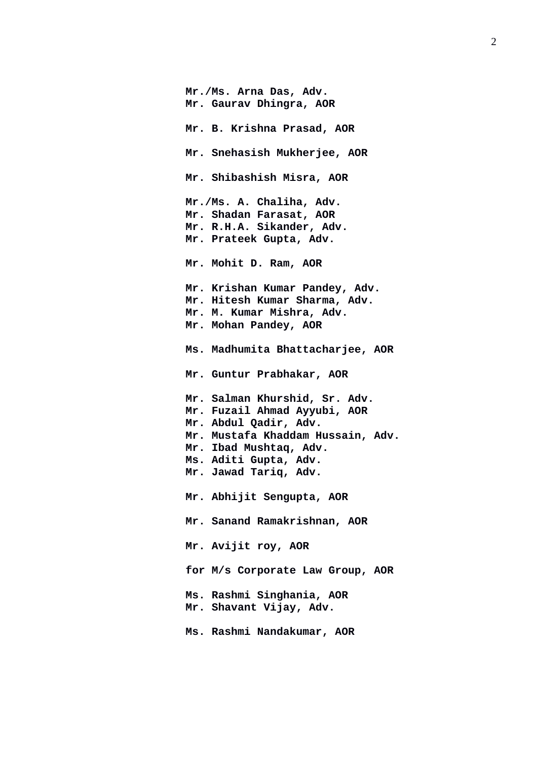**Mr./Ms. Arna Das, Adv. Mr. Gaurav Dhingra, AOR Mr. B. Krishna Prasad, AOR Mr. Snehasish Mukherjee, AOR Mr. Shibashish Misra, AOR Mr./Ms. A. Chaliha, Adv. Mr. Shadan Farasat, AOR Mr. R.H.A. Sikander, Adv. Mr. Prateek Gupta, Adv. Mr. Mohit D. Ram, AOR Ms. Madhumita Bhattacharjee, AOR Mr. Guntur Prabhakar, AOR Mr. Abhijit Sengupta, AOR Mr. Sanand Ramakrishnan, AOR Mr. Avijit roy, AOR for M/s Corporate Law Group, AOR Mr. Shavant Vijay, Adv.**

- **Mr. Krishan Kumar Pandey, Adv. Mr. Hitesh Kumar Sharma, Adv. Mr. M. Kumar Mishra, Adv. Mr. Mohan Pandey, AOR**
- 
- 
- **Mr. Salman Khurshid, Sr. Adv. Mr. Fuzail Ahmad Ayyubi, AOR Mr. Abdul Qadir, Adv. Mr. Mustafa Khaddam Hussain, Adv. Mr. Ibad Mushtaq, Adv. Ms. Aditi Gupta, Adv. Mr. Jawad Tariq, Adv.**
- 
- -
- **Ms. Rashmi Singhania, AOR**
- **Ms. Rashmi Nandakumar, AOR**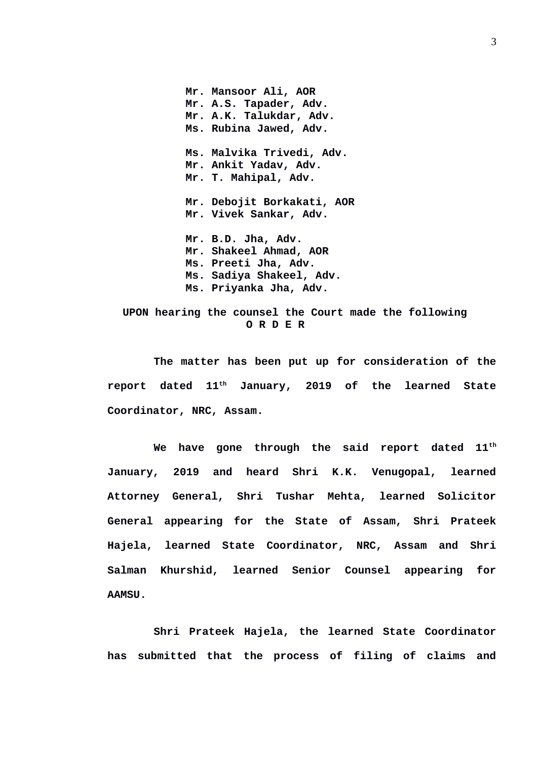**Mr. Mansoor Ali, AOR Mr. A.S. Tapader, Adv. Mr. A.K. Talukdar, Adv. Ms. Rubina Jawed, Adv. Ms. Malvika Trivedi, Adv. Mr. Ankit Yadav, Adv. Mr. T. Mahipal, Adv. Mr. Debojit Borkakati, AOR Mr. Vivek Sankar, Adv. Mr. B.D. Jha, Adv. Mr. Shakeel Ahmad, AOR Ms. Preeti Jha, Adv. Ms. Sadiya Shakeel, Adv. Ms. Priyanka Jha, Adv.**

 **UPON hearing the counsel the Court made the following O R D E R**

**The matter has been put up for consideration of the report dated 11th January, 2019 of the learned State Coordinator, NRC, Assam.** 

**We have gone through the said report dated 11th January, 2019 and heard Shri K.K. Venugopal, learned Attorney General, Shri Tushar Mehta, learned Solicitor General appearing for the State of Assam, Shri Prateek Hajela, learned State Coordinator, NRC, Assam and Shri Salman Khurshid, learned Senior Counsel appearing for AAMSU.** 

**Shri Prateek Hajela, the learned State Coordinator has submitted that the process of filing of claims and**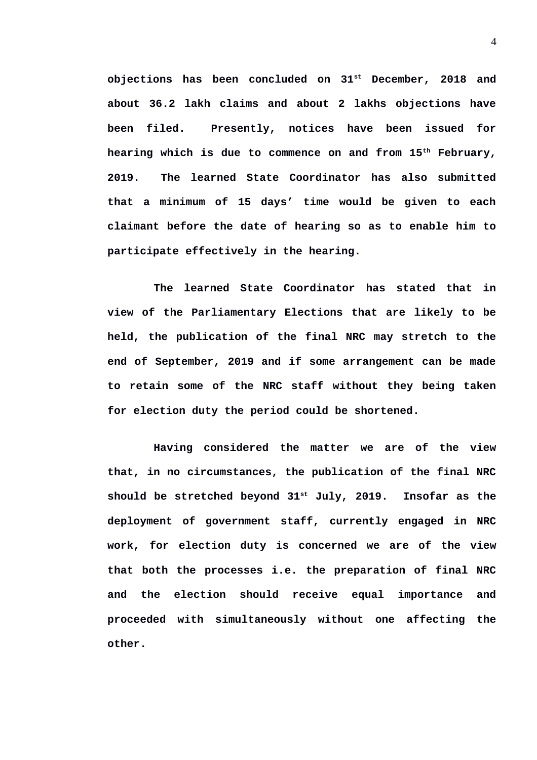**objections has been concluded on 31st December, 2018 and about 36.2 lakh claims and about 2 lakhs objections have been filed. Presently, notices have been issued for hearing which is due to commence on and from 15th February, 2019. The learned State Coordinator has also submitted that a minimum of 15 days' time would be given to each claimant before the date of hearing so as to enable him to participate effectively in the hearing.** 

**The learned State Coordinator has stated that in view of the Parliamentary Elections that are likely to be held, the publication of the final NRC may stretch to the end of September, 2019 and if some arrangement can be made to retain some of the NRC staff without they being taken for election duty the period could be shortened.** 

**Having considered the matter we are of the view that, in no circumstances, the publication of the final NRC should be stretched beyond 31st July, 2019. Insofar as the deployment of government staff, currently engaged in NRC work, for election duty is concerned we are of the view that both the processes i.e. the preparation of final NRC and the election should receive equal importance and proceeded with simultaneously without one affecting the other.**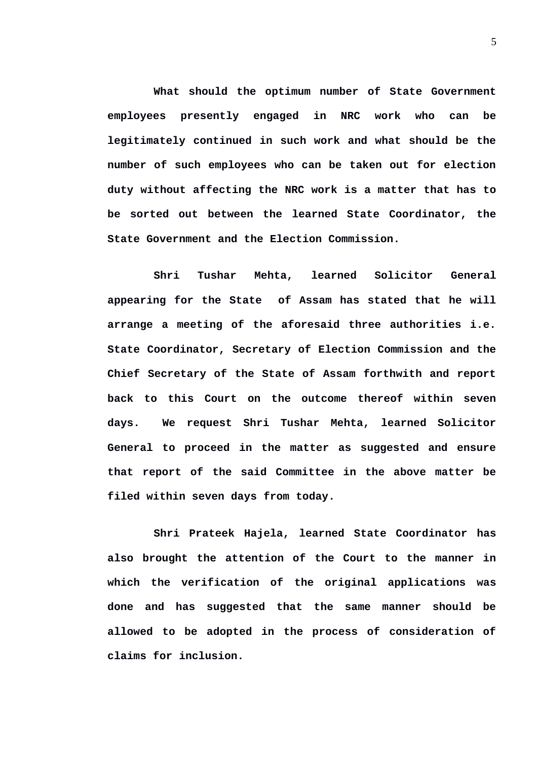**What should the optimum number of State Government employees presently engaged in NRC work who can be legitimately continued in such work and what should be the number of such employees who can be taken out for election duty without affecting the NRC work is a matter that has to be sorted out between the learned State Coordinator, the State Government and the Election Commission.** 

**Shri Tushar Mehta, learned Solicitor General appearing for the State of Assam has stated that he will arrange a meeting of the aforesaid three authorities i.e. State Coordinator, Secretary of Election Commission and the Chief Secretary of the State of Assam forthwith and report back to this Court on the outcome thereof within seven days. We request Shri Tushar Mehta, learned Solicitor General to proceed in the matter as suggested and ensure that report of the said Committee in the above matter be filed within seven days from today.** 

**Shri Prateek Hajela, learned State Coordinator has also brought the attention of the Court to the manner in which the verification of the original applications was done and has suggested that the same manner should be allowed to be adopted in the process of consideration of claims for inclusion.**